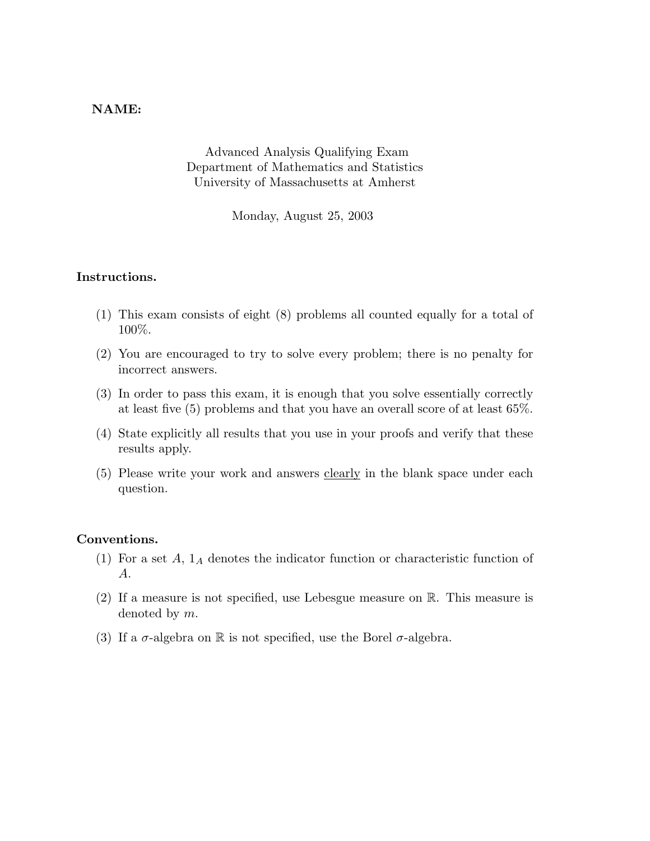## NAME:

Advanced Analysis Qualifying Exam Department of Mathematics and Statistics University of Massachusetts at Amherst

Monday, August 25, 2003

## Instructions.

- (1) This exam consists of eight (8) problems all counted equally for a total of 100%.
- (2) You are encouraged to try to solve every problem; there is no penalty for incorrect answers.
- (3) In order to pass this exam, it is enough that you solve essentially correctly at least five (5) problems and that you have an overall score of at least 65%.
- (4) State explicitly all results that you use in your proofs and verify that these results apply.
- (5) Please write your work and answers clearly in the blank space under each question.

## Conventions.

- (1) For a set  $A$ ,  $1_A$  denotes the indicator function or characteristic function of A.
- (2) If a measure is not specified, use Lebesgue measure on R. This measure is denoted by m.
- (3) If a  $\sigma$ -algebra on R is not specified, use the Borel  $\sigma$ -algebra.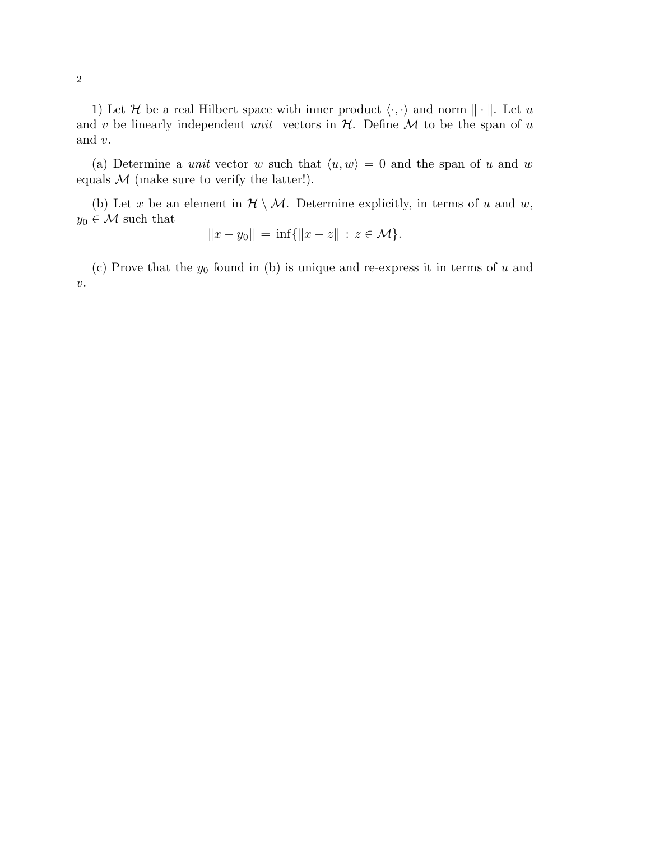1) Let H be a real Hilbert space with inner product  $\langle \cdot, \cdot \rangle$  and norm  $\|\cdot\|$ . Let u and v be linearly independent unit vectors in  $H$ . Define  $M$  to be the span of u and v.

(a) Determine a *unit* vector w such that  $\langle u, w \rangle = 0$  and the span of u and w equals  $M$  (make sure to verify the latter!).

(b) Let x be an element in  $\mathcal{H} \setminus \mathcal{M}$ . Determine explicitly, in terms of u and w,  $y_0 \in \mathcal{M}$  such that

$$
||x - y_0|| = \inf{||x - z|| : z \in \mathcal{M} }.
$$

(c) Prove that the  $y_0$  found in (b) is unique and re-express it in terms of u and  $\upsilon.$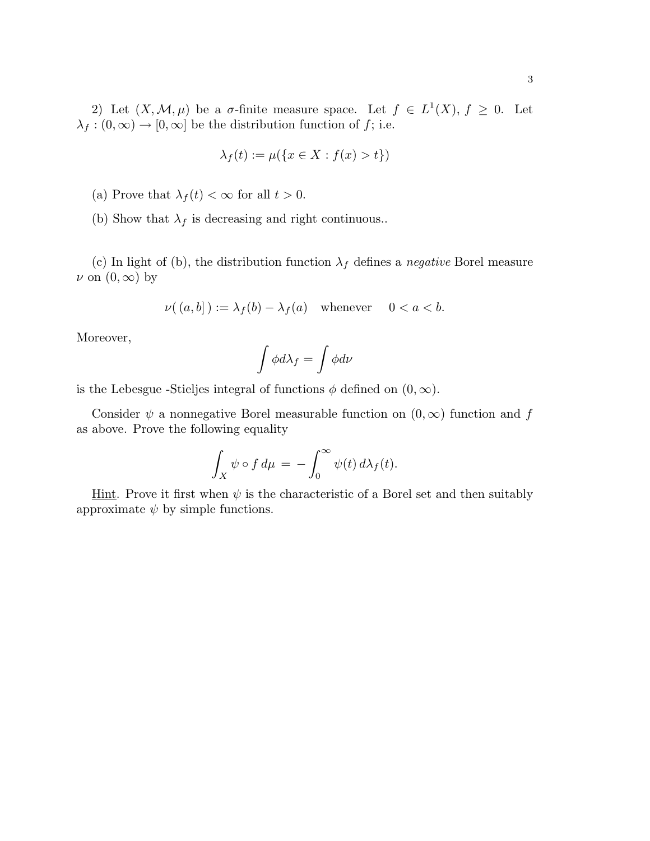$$
\lambda_f(t) := \mu(\{x \in X : f(x) > t\})
$$

- (a) Prove that  $\lambda_f(t) < \infty$  for all  $t > 0$ .
- (b) Show that  $\lambda_f$  is decreasing and right continuous..

(c) In light of (b), the distribution function  $\lambda_f$  defines a *negative* Borel measure  $\nu$  on  $(0,\infty)$  by

$$
\nu((a, b]) := \lambda_f(b) - \lambda_f(a) \quad \text{whenever} \quad 0 < a < b.
$$

Moreover,

$$
\int \phi d\lambda_f = \int \phi d\nu
$$

is the Lebesgue -Stieljes integral of functions  $\phi$  defined on  $(0, \infty)$ .

Consider  $\psi$  a nonnegative Borel measurable function on  $(0, \infty)$  function and f as above. Prove the following equality

$$
\int_X \psi \circ f \, d\mu = - \int_0^\infty \psi(t) \, d\lambda_f(t).
$$

Hint. Prove it first when  $\psi$  is the characteristic of a Borel set and then suitably approximate  $\psi$  by simple functions.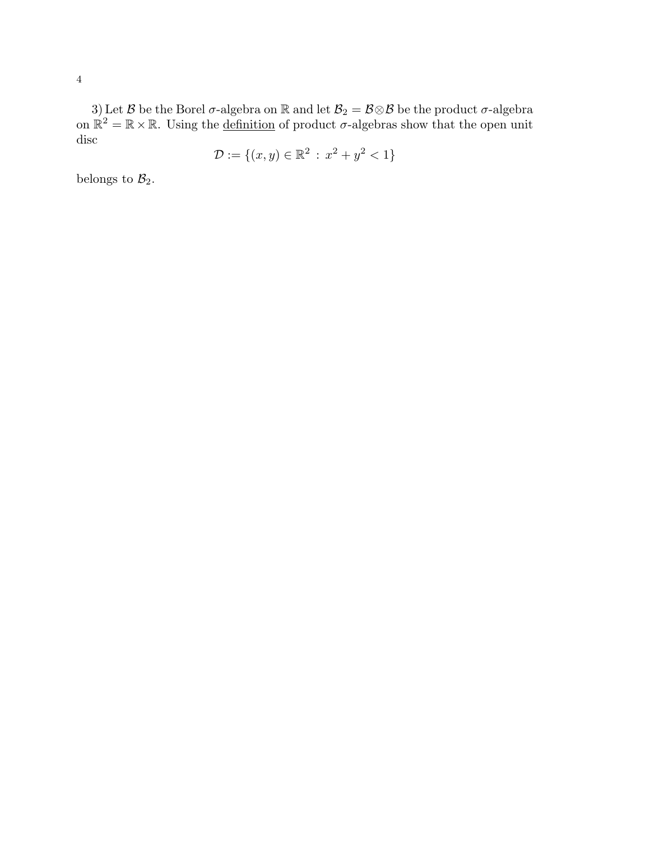3) Let  $\mathcal B$  be the Borel  $\sigma$ -algebra on  $\mathbb R$  and let  $\mathcal B_2=\mathcal B\otimes\mathcal B$  be the product  $\sigma$ -algebra on  $\mathbb{R}^2 = \mathbb{R} \times \mathbb{R}$ . Using the definition of product  $\sigma$ -algebras show that the open unit disc

$$
\mathcal{D} := \{(x, y) \in \mathbb{R}^2 \, : \, x^2 + y^2 < 1\}
$$

belongs to  $\mathcal{B}_2$ .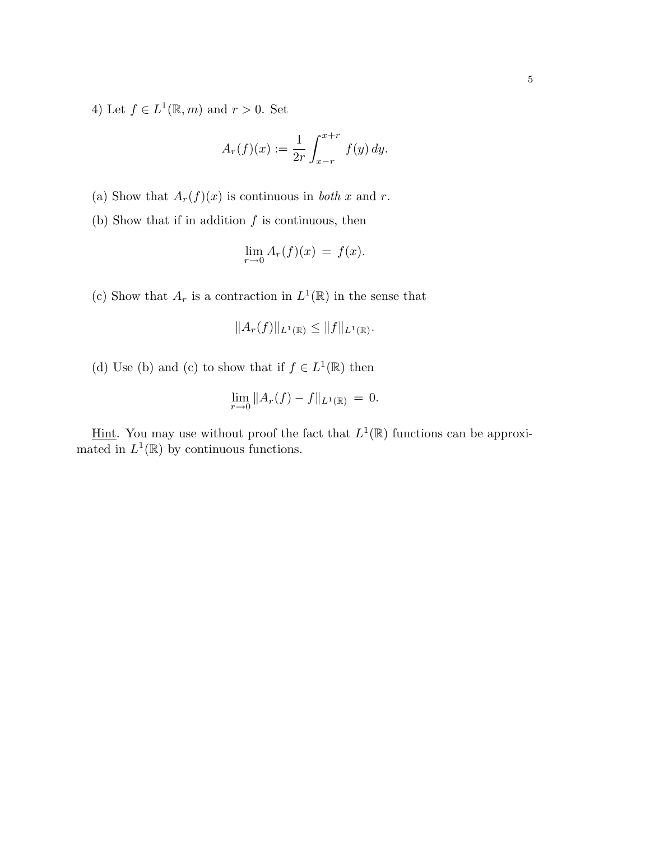4) Let  $f \in L^1(\mathbb{R}, m)$  and  $r > 0$ . Set

$$
A_r(f)(x) := \frac{1}{2r} \int_{x-r}^{x+r} f(y) \, dy.
$$

(a) Show that  $A_r(f)(x)$  is continuous in *both* x and r.

(b) Show that if in addition  $f$  is continuous, then

$$
\lim_{r \to 0} A_r(f)(x) = f(x).
$$

(c) Show that  $A_r$  is a contraction in  $L^1(\mathbb{R})$  in the sense that

$$
||A_r(f)||_{L^1(\mathbb{R})} \leq ||f||_{L^1(\mathbb{R})}.
$$

(d) Use (b) and (c) to show that if  $f \in L^1(\mathbb{R})$  then

$$
\lim_{r \to 0} \|A_r(f) - f\|_{L^1(\mathbb{R})} = 0.
$$

Hint. You may use without proof the fact that  $L^1(\mathbb{R})$  functions can be approximated in  $L^1(\mathbb{R})$  by continuous functions.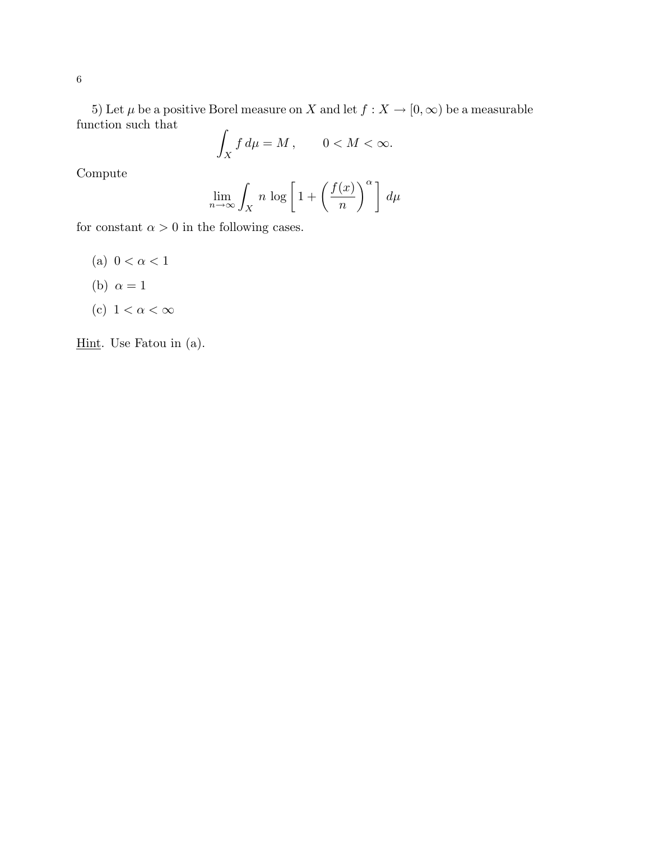5) Let  $\mu$  be a positive Borel measure on  $X$  and let  $f: X \to [0, \infty)$  be a measurable function such that

$$
\int_X f \, d\mu = M \,, \qquad 0 < M < \infty.
$$

Compute

$$
\lim_{n \to \infty} \int_X n \, \log \left[ 1 + \left( \frac{f(x)}{n} \right)^{\alpha} \right] \, d\mu
$$

for constant  $\alpha > 0$  in the following cases.

- (a)  $0 < \alpha < 1$
- (b)  $\alpha = 1$
- (c)  $1 < \alpha < \infty$

Hint. Use Fatou in (a).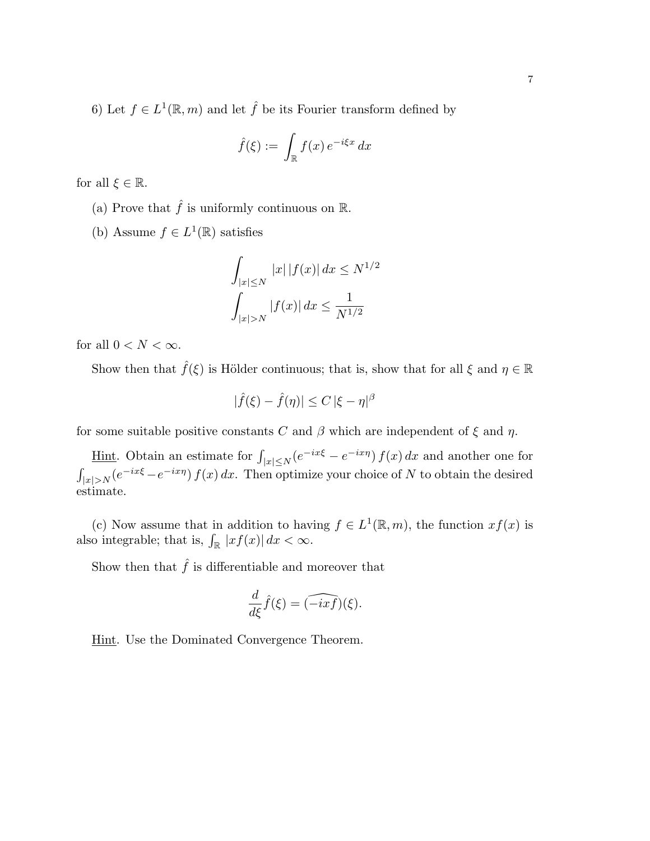6) Let  $f \in L^1(\mathbb{R}, m)$  and let  $\hat{f}$  be its Fourier transform defined by

$$
\hat{f}(\xi) := \int_{\mathbb{R}} f(x) e^{-i\xi x} dx
$$

for all  $\xi \in \mathbb{R}$ .

- (a) Prove that  $\hat{f}$  is uniformly continuous on  $\mathbb{R}$ .
- (b) Assume  $f \in L^1(\mathbb{R})$  satisfies

$$
\int_{|x| \le N} |x| |f(x)| dx \le N^{1/2}
$$

$$
\int_{|x| > N} |f(x)| dx \le \frac{1}{N^{1/2}}
$$

for all  $0 < N < \infty$ .

Show then that  $\hat{f}(\xi)$  is Hölder continuous; that is, show that for all  $\xi$  and  $\eta \in \mathbb{R}$ 

$$
|\widehat{f}(\xi) - \widehat{f}(\eta)| \leq C \, |\xi - \eta|^\beta
$$

for some suitable positive constants C and  $\beta$  which are independent of  $\xi$  and  $\eta$ .

<u>Hint</u>. Obtain an estimate for  $\int_{|x| \le N} (e^{-ix\xi} - e^{-ix\eta}) f(x) dx$  and another one for  $\int_{|x|>N} (e^{-ix\xi} - e^{-ix\eta}) f(x) dx$ . Then optimize your choice of N to obtain the desired estimate.

(c) Now assume that in addition to having  $f \in L^1(\mathbb{R}, m)$ , the function  $xf(x)$  is also integrable; that is,  $\int_{\mathbb{R}} |xf(x)| dx < \infty$ .

Show then that  $\hat{f}$  is differentiable and moreover that

$$
\frac{d}{d\xi}\hat{f}(\xi) = \widehat{(-ixf)}(\xi).
$$

Hint. Use the Dominated Convergence Theorem.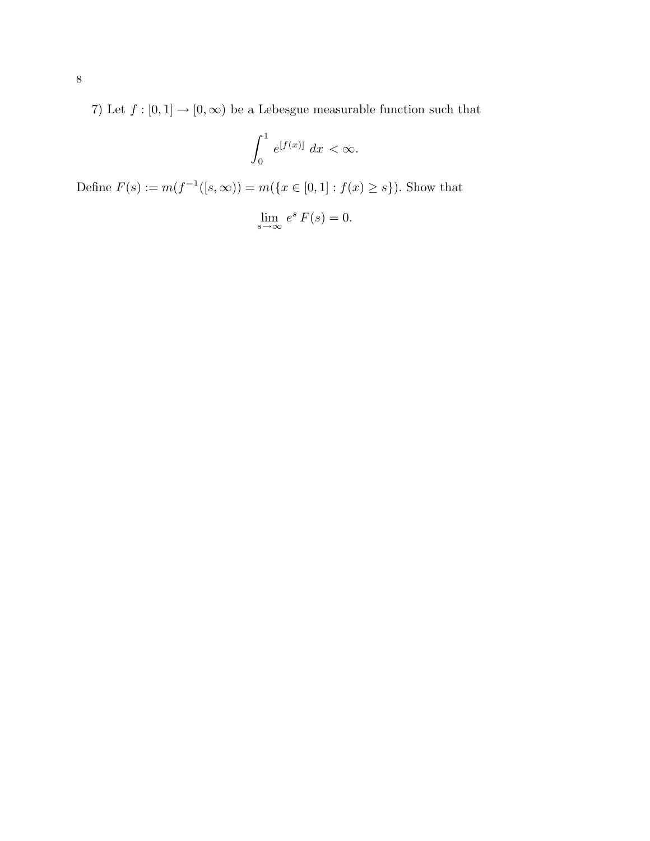7) Let  $f:[0,1]\to[0,\infty)$  be a Lebesgue measurable function such that

$$
\int_0^1 e^{[f(x)]} dx < \infty.
$$

Define  $F(s) := m(f^{-1}([s, \infty)) = m(\{x \in [0, 1] : f(x) \ge s\})$ . Show that

$$
\lim_{s \to \infty} e^s F(s) = 0.
$$